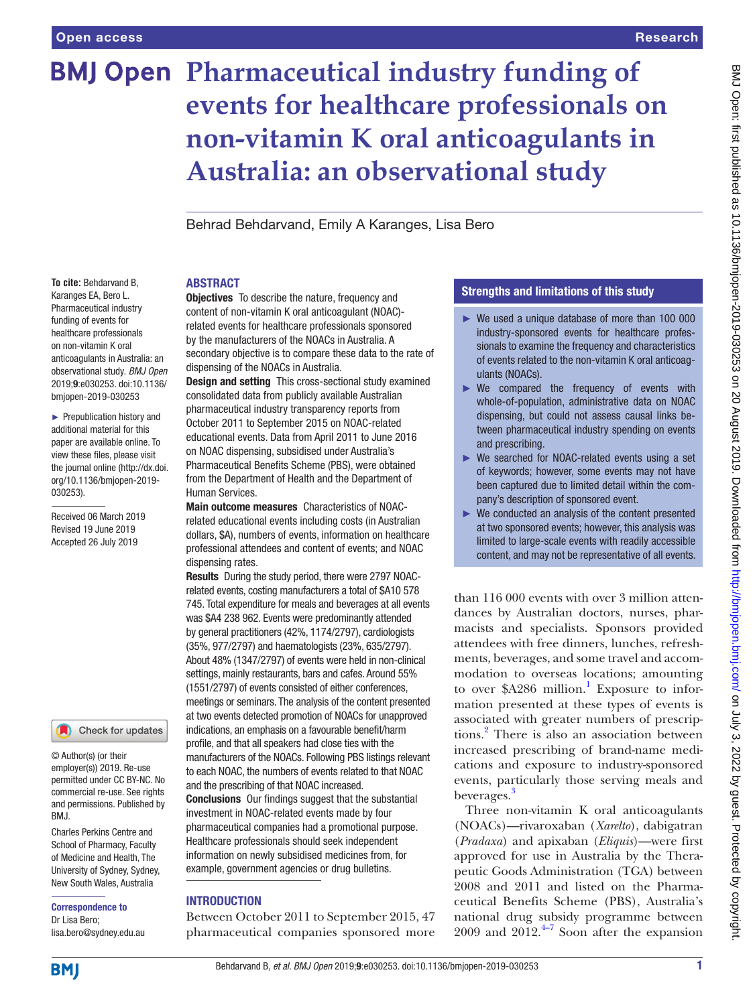**To cite:** Behdarvand B, Karanges EA, Bero L. Pharmaceutical industry funding of events for healthcare professionals on non-vitamin K oral

bmjopen-2019-030253 ► Prepublication history and additional material for this paper are available online. To view these files, please visit the journal online (http://dx.doi. org/10.1136/bmjopen-2019-

Received 06 March 2019 Revised 19 June 2019 Accepted 26 July 2019

030253).

# **BMJ Open Pharmaceutical industry funding of events for healthcare professionals on non-vitamin K oral anticoagulants in Australia: an observational study**

Behrad Behdarvand, Emily A Karanges, Lisa Bero

### **ABSTRACT**

anticoagulants in Australia: an observational study. *BMJ Open* 2019;9:e030253. doi:10.1136/ **Objectives** To describe the nature, frequency and content of non-vitamin K oral anticoagulant (NOAC) related events for healthcare professionals sponsored by the manufacturers of the NOACs in Australia. A secondary objective is to compare these data to the rate of dispensing of the NOACs in Australia.

Design and setting This cross-sectional study examined consolidated data from publicly available Australian pharmaceutical industry transparency reports from October 2011 to September 2015 on NOAC-related educational events. Data from April 2011 to June 2016 on NOAC dispensing, subsidised under Australia's Pharmaceutical Benefits Scheme (PBS), were obtained from the Department of Health and the Department of Human Services.

Main outcome measures Characteristics of NOACrelated educational events including costs (in Australian dollars, \$A), numbers of events, information on healthcare professional attendees and content of events; and NOAC dispensing rates.

Results During the study period, there were 2797 NOACrelated events, costing manufacturers a total of \$A10 578 745. Total expenditure for meals and beverages at all events was \$A4 238 962. Events were predominantly attended by general practitioners (42%, 1174/2797), cardiologists (35%, 977/2797) and haematologists (23%, 635/2797). About 48% (1347/2797) of events were held in non-clinical settings, mainly restaurants, bars and cafes. Around 55% (1551/2797) of events consisted of either conferences, meetings or seminars. The analysis of the content presented at two events detected promotion of NOACs for unapproved indications, an emphasis on a favourable benefit/harm profile, and that all speakers had close ties with the manufacturers of the NOACs. Following PBS listings relevant to each NOAC, the numbers of events related to that NOAC and the prescribing of that NOAC increased. Conclusions Our findings suggest that the substantial investment in NOAC-related events made by four pharmaceutical companies had a promotional purpose. Healthcare professionals should seek independent information on newly subsidised medicines from, for example, government agencies or drug bulletins.

# **INTRODUCTION**

Between October 2011 to September 2015, 47 pharmaceutical companies sponsored more

# Strengths and limitations of this study

- ► We used a unique database of more than 100 000 industry-sponsored events for healthcare professionals to examine the frequency and characteristics of events related to the non-vitamin K oral anticoagulants (NOACs).
- ► We compared the frequency of events with whole-of-population, administrative data on NOAC dispensing, but could not assess causal links between pharmaceutical industry spending on events and prescribing.
- ► We searched for NOAC-related events using a set of keywords; however, some events may not have been captured due to limited detail within the company's description of sponsored event.
- ► We conducted an analysis of the content presented at two sponsored events; however, this analysis was limited to large-scale events with readily accessible content, and may not be representative of all events.

than 116 000 events with over 3 million attendances by Australian doctors, nurses, pharmacists and specialists. Sponsors provided attendees with free dinners, lunches, refreshments, beverages, and some travel and accommodation to overseas locations; amounting to over \$A286 million.<sup>1</sup> Exposure to information presented at these types of events is associated with greater numbers of prescriptions.[2](#page-9-1) There is also an association between increased prescribing of brand-name medications and exposure to industry-sponsored events, particularly those serving meals and beverages.<sup>[3](#page-9-2)</sup>

Three non-vitamin K oral anticoagulants (NOACs)—rivaroxaban (*Xarelto*), dabigatran (*Pradaxa*) and apixaban (*Eliquis*)—were first approved for use in Australia by the Therapeutic Goods Administration (TGA) between 2008 and 2011 and listed on the Pharmaceutical Benefits Scheme (PBS), Australia's national drug subsidy programme between 2009 and  $2012.<sup>4-7</sup>$  Soon after the expansion

employer(s)) 2019. Re-use permitted under CC BY-NC. No commercial re-use. See rights and permissions. Published by BMJ.

 $\blacksquare$  Check for updates

© Author(s) (or their

Charles Perkins Centre and School of Pharmacy, Faculty of Medicine and Health, The University of Sydney, Sydney, New South Wales, Australia

#### Correspondence to Dr Lisa Bero; lisa.bero@sydney.edu.au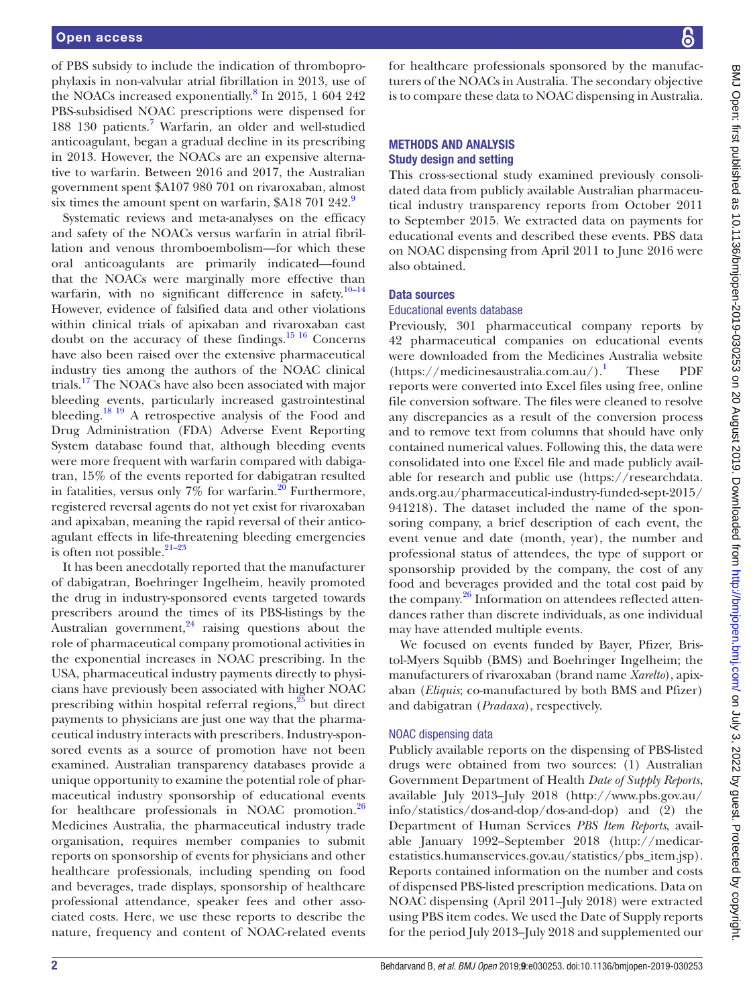of PBS subsidy to include the indication of thromboprophylaxis in non-valvular atrial fibrillation in 2013, use of the NOACs increased exponentially.<sup>[8](#page-9-4)</sup> In 2015, 1 604 242 PBS-subsidised NOAC prescriptions were dispensed for 188 130 patients[.7](#page-9-5) Warfarin, an older and well-studied anticoagulant, began a gradual decline in its prescribing in 2013. However, the NOACs are an expensive alternative to warfarin. Between 2016 and 2017, the Australian government spent \$A107 980 701 on rivaroxaban, almost six times the amount spent on warfarin,  $A18\ 701\ 242$ .

Systematic reviews and meta-analyses on the efficacy and safety of the NOACs versus warfarin in atrial fibrillation and venous thromboembolism—for which these oral anticoagulants are primarily indicated—found that the NOACs were marginally more effective than warfarin, with no significant difference in safety. $10-14$ However, evidence of falsified data and other violations within clinical trials of apixaban and rivaroxaban cast doubt on the accuracy of these findings. $15\frac{16}{16}$  Concerns have also been raised over the extensive pharmaceutical industry ties among the authors of the NOAC clinical trials[.17](#page-9-9) The NOACs have also been associated with major bleeding events, particularly increased gastrointestinal bleeding.<sup>18 19</sup> A retrospective analysis of the Food and Drug Administration (FDA) Adverse Event Reporting System database found that, although bleeding events were more frequent with warfarin compared with dabigatran, 15% of the events reported for dabigatran resulted in fatalities, versus only  $7\%$  for warfarin.<sup>20</sup> Furthermore, registered reversal agents do not yet exist for rivaroxaban and apixaban, meaning the rapid reversal of their anticoagulant effects in life-threatening bleeding emergencies is often not possible. $21-23$ 

It has been anecdotally reported that the manufacturer of dabigatran, Boehringer Ingelheim, heavily promoted the drug in industry-sponsored events targeted towards prescribers around the times of its PBS-listings by the Australian government, $24$  raising questions about the role of pharmaceutical company promotional activities in the exponential increases in NOAC prescribing. In the USA, pharmaceutical industry payments directly to physicians have previously been associated with higher NOAC prescribing within hospital referral regions,<sup>25</sup> but direct payments to physicians are just one way that the pharmaceutical industry interacts with prescribers. Industry-sponsored events as a source of promotion have not been examined. Australian transparency databases provide a unique opportunity to examine the potential role of pharmaceutical industry sponsorship of educational events for healthcare professionals in NOAC promotion.<sup>26</sup> Medicines Australia, the pharmaceutical industry trade organisation, requires member companies to submit reports on sponsorship of events for physicians and other healthcare professionals, including spending on food and beverages, trade displays, sponsorship of healthcare professional attendance, speaker fees and other associated costs. Here, we use these reports to describe the nature, frequency and content of NOAC-related events

for healthcare professionals sponsored by the manufacturers of the NOACs in Australia. The secondary objective is to compare these data to NOAC dispensing in Australia.

### Methods and analysis Study design and setting

This cross-sectional study examined previously consolidated data from publicly available Australian pharmaceutical industry transparency reports from October 2011 to September 2015. We extracted data on payments for educational events and described these events. PBS data on NOAC dispensing from April 2011 to June 2016 were also obtained.

# Data sources

# Educational events database

Previously, 301 pharmaceutical company reports by 42 pharmaceutical companies on educational events were downloaded from the Medicines Australia website  $(\text{https://medicinesaustralia.com.au/})$ .<sup>1</sup> These PDF reports were converted into Excel files using free, online file conversion software. The files were cleaned to resolve any discrepancies as a result of the conversion process and to remove text from columns that should have only contained numerical values. Following this, the data were consolidated into one Excel file and made publicly available for research and public use ([https://researchdata.](https://researchdata.ands.org.au/pharmaceutical-industry-funded-sept-2015/941218) [ands.org.au/pharmaceutical-industry-funded-sept-2015/](https://researchdata.ands.org.au/pharmaceutical-industry-funded-sept-2015/941218) [941218](https://researchdata.ands.org.au/pharmaceutical-industry-funded-sept-2015/941218)). The dataset included the name of the sponsoring company, a brief description of each event, the event venue and date (month, year), the number and professional status of attendees, the type of support or sponsorship provided by the company, the cost of any food and beverages provided and the total cost paid by the company.<sup>[26](#page-10-4)</sup> Information on attendees reflected attendances rather than discrete individuals, as one individual may have attended multiple events.

We focused on events funded by Bayer, Pfizer, Bristol-Myers Squibb (BMS) and Boehringer Ingelheim; the manufacturers of rivaroxaban (brand name *Xarelto*), apixaban (*Eliquis*; co-manufactured by both BMS and Pfizer) and dabigatran (*Pradaxa*), respectively.

# NOAC dispensing data

Publicly available reports on the dispensing of PBS-listed drugs were obtained from two sources: (1) Australian Government Department of Health *Date of Supply Reports*, available July 2013–July 2018 [\(http://www.pbs.gov.au/](http://www.pbs.gov.au/info/statistics/dos-and-dop/dos-and-dop) [info/statistics/dos-and-dop/dos-and-dop](http://www.pbs.gov.au/info/statistics/dos-and-dop/dos-and-dop)) and (2) the Department of Human Services *PBS Item Reports*, available January 1992–September 2018 ([http://medicar](http://medicarestatistics.humanservices.gov.au/statistics/pbs_item.jsp)[estatistics.humanservices.gov.au/statistics/pbs\\_item.jsp\)](http://medicarestatistics.humanservices.gov.au/statistics/pbs_item.jsp). Reports contained information on the number and costs of dispensed PBS-listed prescription medications. Data on NOAC dispensing (April 2011–July 2018) were extracted using PBS item codes. We used the Date of Supply reports for the period July 2013–July 2018 and supplemented our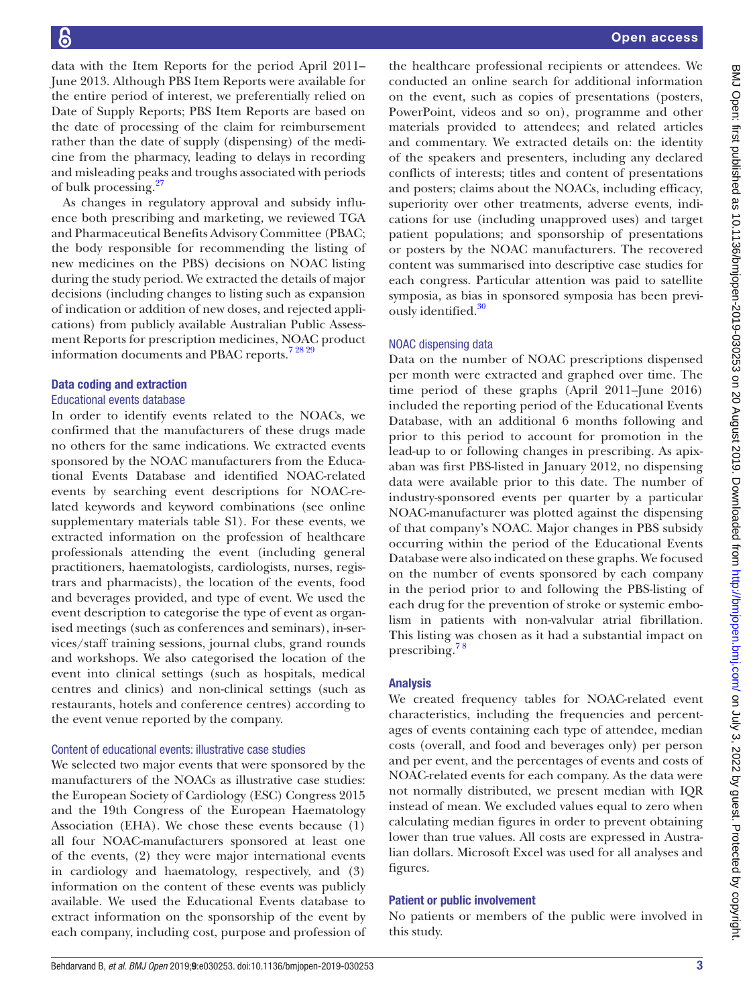data with the Item Reports for the period April 2011– June 2013. Although PBS Item Reports were available for the entire period of interest, we preferentially relied on Date of Supply Reports; PBS Item Reports are based on the date of processing of the claim for reimbursement rather than the date of supply (dispensing) of the medicine from the pharmacy, leading to delays in recording and misleading peaks and troughs associated with periods of bulk processing.[27](#page-10-5)

As changes in regulatory approval and subsidy influence both prescribing and marketing, we reviewed TGA and Pharmaceutical Benefits Advisory Committee (PBAC; the body responsible for recommending the listing of new medicines on the PBS) decisions on NOAC listing during the study period. We extracted the details of major decisions (including changes to listing such as expansion of indication or addition of new doses, and rejected applications) from publicly available Australian Public Assessment Reports for prescription medicines, NOAC product information documents and PBAC reports.<sup>728 29</sup>

#### Data coding and extraction

#### Educational events database

In order to identify events related to the NOACs, we confirmed that the manufacturers of these drugs made no others for the same indications. We extracted events sponsored by the NOAC manufacturers from the Educational Events Database and identified NOAC-related events by searching event descriptions for NOAC-related keywords and keyword combinations (see [online](https://dx.doi.org/10.1136/bmjopen-2019-030253) [supplementary materials table S1\)](https://dx.doi.org/10.1136/bmjopen-2019-030253). For these events, we extracted information on the profession of healthcare professionals attending the event (including general practitioners, haematologists, cardiologists, nurses, registrars and pharmacists), the location of the events, food and beverages provided, and type of event. We used the event description to categorise the type of event as organised meetings (such as conferences and seminars), in-services/staff training sessions, journal clubs, grand rounds and workshops. We also categorised the location of the event into clinical settings (such as hospitals, medical centres and clinics) and non-clinical settings (such as restaurants, hotels and conference centres) according to the event venue reported by the company.

#### Content of educational events: illustrative case studies

We selected two major events that were sponsored by the manufacturers of the NOACs as illustrative case studies: the European Society of Cardiology (ESC) Congress 2015 and the 19th Congress of the European Haematology Association (EHA). We chose these events because (1) all four NOAC-manufacturers sponsored at least one of the events, (2) they were major international events in cardiology and haematology, respectively, and (3) information on the content of these events was publicly available. We used the Educational Events database to extract information on the sponsorship of the event by each company, including cost, purpose and profession of the healthcare professional recipients or attendees. We conducted an online search for additional information on the event, such as copies of presentations (posters, PowerPoint, videos and so on), programme and other materials provided to attendees; and related articles and commentary. We extracted details on: the identity of the speakers and presenters, including any declared conflicts of interests; titles and content of presentations and posters; claims about the NOACs, including efficacy, superiority over other treatments, adverse events, indications for use (including unapproved uses) and target patient populations; and sponsorship of presentations or posters by the NOAC manufacturers. The recovered content was summarised into descriptive case studies for each congress. Particular attention was paid to satellite symposia, as bias in sponsored symposia has been previously identified.<sup>30</sup>

#### NOAC dispensing data

Data on the number of NOAC prescriptions dispensed per month were extracted and graphed over time. The time period of these graphs (April 2011–June 2016) included the reporting period of the Educational Events Database, with an additional 6 months following and prior to this period to account for promotion in the lead-up to or following changes in prescribing. As apixaban was first PBS-listed in January 2012, no dispensing data were available prior to this date. The number of industry-sponsored events per quarter by a particular NOAC-manufacturer was plotted against the dispensing of that company's NOAC. Major changes in PBS subsidy occurring within the period of the Educational Events Database were also indicated on these graphs. We focused on the number of events sponsored by each company in the period prior to and following the PBS-listing of each drug for the prevention of stroke or systemic embolism in patients with non-valvular atrial fibrillation. This listing was chosen as it had a substantial impact on prescribing. $78$ 

#### Analysis

We created frequency tables for NOAC-related event characteristics, including the frequencies and percentages of events containing each type of attendee, median costs (overall, and food and beverages only) per person and per event, and the percentages of events and costs of NOAC-related events for each company. As the data were not normally distributed, we present median with IQR instead of mean. We excluded values equal to zero when calculating median figures in order to prevent obtaining lower than true values. All costs are expressed in Australian dollars. Microsoft Excel was used for all analyses and figures.

#### Patient or public involvement

No patients or members of the public were involved in this study.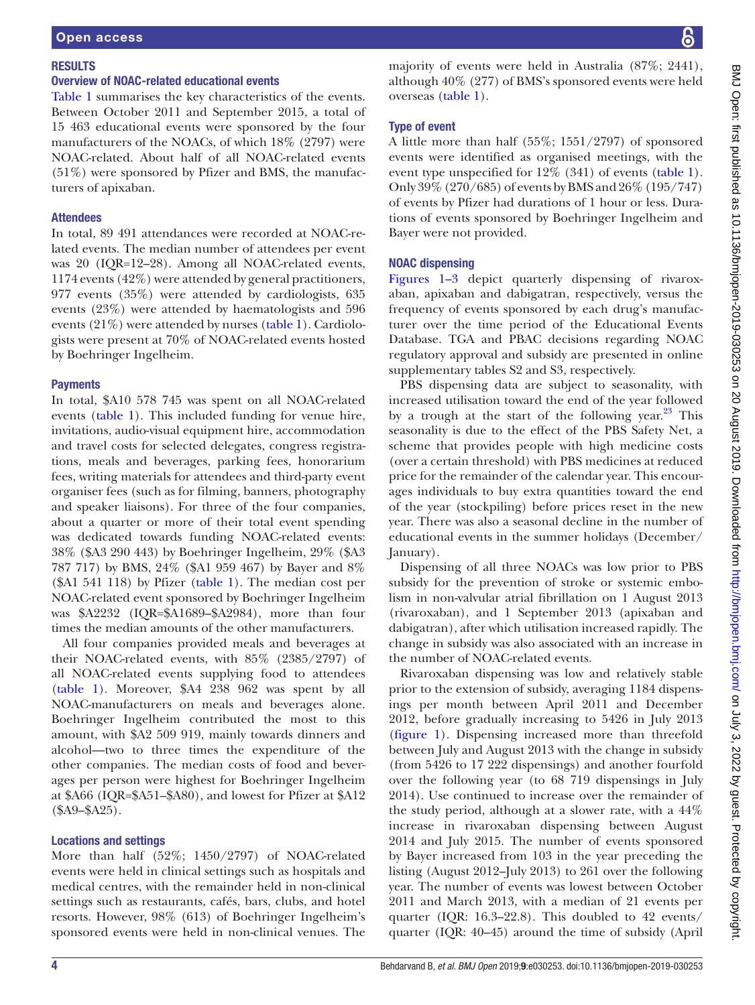# **RESULTS**

### Overview of NOAC-related educational events

[Table](#page-4-0) 1 summarises the key characteristics of the events. Between October 2011 and September 2015, a total of 15 463 educational events were sponsored by the four manufacturers of the NOACs, of which 18% (2797) were NOAC-related. About half of all NOAC-related events  $(51\%)$  were sponsored by Pfizer and BMS, the manufacturers of apixaban.

# **Attendees**

In total, 89 491 attendances were recorded at NOAC-related events. The median number of attendees per event was 20 (IQR=12–28). Among all NOAC-related events, 1174 events (42%) were attended by general practitioners, 977 events (35%) were attended by cardiologists, 635 events (23%) were attended by haematologists and 596 events (21%) were attended by nurses ([table](#page-4-0) 1). Cardiologists were present at 70% of NOAC-related events hosted by Boehringer Ingelheim.

# **Payments**

In total, \$A10 578 745 was spent on all NOAC-related events ([table](#page-4-0) 1). This included funding for venue hire, invitations, audio-visual equipment hire, accommodation and travel costs for selected delegates, congress registrations, meals and beverages, parking fees, honorarium fees, writing materials for attendees and third-party event organiser fees (such as for filming, banners, photography and speaker liaisons). For three of the four companies, about a quarter or more of their total event spending was dedicated towards funding NOAC-related events: 38% (\$A3 290 443) by Boehringer Ingelheim, 29% (\$A3 787 717) by BMS, 24% (\$A1 959 467) by Bayer and 8% (\$A1 541 118) by Pfizer ([table](#page-4-0) 1). The median cost per NOAC-related event sponsored by Boehringer Ingelheim was \$A2232 (IQR=\$A1689–\$A2984), more than four times the median amounts of the other manufacturers.

All four companies provided meals and beverages at their NOAC-related events, with 85% (2385/2797) of all NOAC-related events supplying food to attendees ([table](#page-4-0) 1). Moreover, \$A4 238 962 was spent by all NOAC-manufacturers on meals and beverages alone. Boehringer Ingelheim contributed the most to this amount, with \$A2 509 919, mainly towards dinners and alcohol—two to three times the expenditure of the other companies. The median costs of food and beverages per person were highest for Boehringer Ingelheim at \$A66 (IQR=\$A51–\$A80), and lowest for Pfizer at \$A12 (\$A9–\$A25).

# Locations and settings

More than half (52%; 1450/2797) of NOAC-related events were held in clinical settings such as hospitals and medical centres, with the remainder held in non-clinical settings such as restaurants, cafés, bars, clubs, and hotel resorts. However, 98% (613) of Boehringer Ingelheim's sponsored events were held in non-clinical venues. The

majority of events were held in Australia (87%; 2441), although 40% (277) of BMS's sponsored events were held overseas ([table](#page-4-0) 1).

# Type of event

A little more than half (55%; 1551/2797) of sponsored events were identified as organised meetings, with the event type unspecified for 12% (341) of events [\(table](#page-4-0) 1). Only 39% (270/685) of events by BMS and 26% (195/747) of events by Pfizer had durations of 1 hour or less. Durations of events sponsored by Boehringer Ingelheim and Bayer were not provided.

# NOAC dispensing

[Figures](#page-6-0) 1–3 depict quarterly dispensing of rivaroxaban, apixaban and dabigatran, respectively, versus the frequency of events sponsored by each drug's manufacturer over the time period of the Educational Events Database. TGA and PBAC decisions regarding NOAC regulatory approval and subsidy are presented in [online](https://dx.doi.org/10.1136/bmjopen-2019-030253)  [supplementary tables S2 and S3](https://dx.doi.org/10.1136/bmjopen-2019-030253), respectively.

PBS dispensing data are subject to seasonality, with increased utilisation toward the end of the year followed by a trough at the start of the following year. $^{23}$  $^{23}$  $^{23}$  This seasonality is due to the effect of the PBS Safety Net, a scheme that provides people with high medicine costs (over a certain threshold) with PBS medicines at reduced price for the remainder of the calendar year. This encourages individuals to buy extra quantities toward the end of the year (stockpiling) before prices reset in the new year. There was also a seasonal decline in the number of educational events in the summer holidays (December/ January).

Dispensing of all three NOACs was low prior to PBS subsidy for the prevention of stroke or systemic embolism in non-valvular atrial fibrillation on 1 August 2013 (rivaroxaban), and 1 September 2013 (apixaban and dabigatran), after which utilisation increased rapidly. The change in subsidy was also associated with an increase in the number of NOAC-related events.

Rivaroxaban dispensing was low and relatively stable prior to the extension of subsidy, averaging 1184 dispensings per month between April 2011 and December 2012, before gradually increasing to 5426 in July 2013 [\(figure](#page-6-0) 1). Dispensing increased more than threefold between July and August 2013 with the change in subsidy (from 5426 to 17 222 dispensings) and another fourfold over the following year (to 68 719 dispensings in July 2014). Use continued to increase over the remainder of the study period, although at a slower rate, with a 44% increase in rivaroxaban dispensing between August 2014 and July 2015. The number of events sponsored by Bayer increased from 103 in the year preceding the listing (August 2012–July 2013) to 261 over the following year. The number of events was lowest between October 2011 and March 2013, with a median of 21 events per quarter (IQR:  $16.3-22.8$ ). This doubled to 42 events/ quarter (IQR: 40–45) around the time of subsidy (April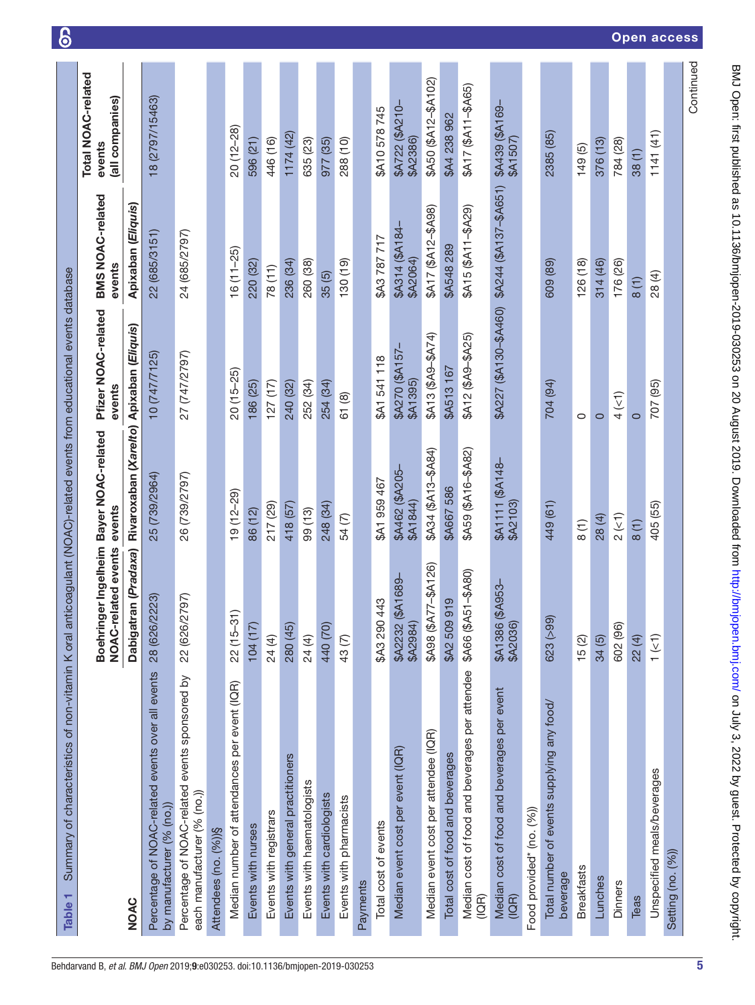| Summary of characteristics of non-vitamin K oral anticoagulant (NOAC)-related events from educational events database<br>٣<br>Table |                                                                       |                                            |                               |                                               |                                                        |
|-------------------------------------------------------------------------------------------------------------------------------------|-----------------------------------------------------------------------|--------------------------------------------|-------------------------------|-----------------------------------------------|--------------------------------------------------------|
|                                                                                                                                     | Boehringer Ingelheim Bayer NOAC-related<br>NOAC-related events events |                                            | Pfizer NOAC-related<br>events | <b>BMS NOAC-related</b><br>events             | <b>Total NOAC-related</b><br>(all companies)<br>events |
| NOAC                                                                                                                                |                                                                       | Dabigatran (Pradaxa) Rivaroxaban (Xarelto) | Apixaban (Eliquis)            | Apixaban (Eliquis)                            |                                                        |
| Percentage of NOAC-related events over all events<br>by manufacturer (% (no.))                                                      | 28 (626/2223)                                                         | 25 (739/2964)                              | 10 (747/7125)                 | 22 (685/3151)                                 | 18 (2797/15463)                                        |
| Percentage of NOAC-related events sponsored by<br>each manufacturer (% (no.))                                                       | (26)<br>22 (626/27                                                    | 26 (739/2797)                              | 27 (747/2797)                 | 24 (685/2797)                                 |                                                        |
| Attendees (no. (%))§                                                                                                                |                                                                       |                                            |                               |                                               |                                                        |
| Median number of attendances per event (IQR)                                                                                        | $22(15-31)$                                                           | $19(12 - 29)$                              | $20(15-25)$                   | $16(11-25)$                                   | $20(12 - 28)$                                          |
| Events with nurses                                                                                                                  | 104(17)                                                               | 86 (12)                                    | 186 (25)                      | 220 (32)                                      | 596 (21)                                               |
| Events with registrars                                                                                                              | 24 (4)                                                                | 217 (29)                                   | 127(17)                       | 78(11)                                        | 446 (16)                                               |
| Events with general practitioners                                                                                                   | 280 (45)                                                              | 418 (57)                                   | 240 (32)                      | 236 (34)                                      | 1174 (42)                                              |
| Events with haematologists                                                                                                          | 24 (4)                                                                | 99 (13)                                    | 252 (34)                      | 260 (38)                                      | 635 (23)                                               |
| Events with cardiologists                                                                                                           | 440 (70)                                                              | 248 (34)                                   | 254 (34)                      | 35(5)                                         | 977 (35)                                               |
| Events with pharmacists                                                                                                             | 43 <sub>(7)</sub>                                                     | 54 <sub>(7)</sub>                          | 61(8)                         | 130 (19)                                      | 288 (10)                                               |
| Payments                                                                                                                            |                                                                       |                                            |                               |                                               |                                                        |
| Total cost of events                                                                                                                | \$A3 290 443                                                          | \$A1959467                                 | \$A1 541 118                  | \$A3787717                                    | \$A10578745                                            |
| Median event cost per event (IQR)                                                                                                   | \$A2232 (\$A1689-<br>\$A2984)                                         | \$A462 (\$A205-<br>\$A1844)                | \$A270 (\$A157-<br>\$A1395)   | \$A314 (\$A184-<br>\$A2064)                   | \$A722 (\$A210-<br>\$A2386)                            |
| Median event cost per attendee (IQR)                                                                                                | \$A98 (\$A77-\$A126)                                                  | \$A34 (\$A13-\$A84)                        | \$A13 (\$A9-\$A74)            | \$A17 (\$A12-\$A98)                           | \$A50 (\$A12-\$A102)                                   |
| Total cost of food and beverages                                                                                                    | \$A2 509 919                                                          | \$A667 586                                 | <b>\$A513167</b>              | \$A548 289                                    | \$A4 238 962                                           |
| Median cost of food and beverages per attendee<br>(IGR)                                                                             | \$A66 (\$A51-\$A80)                                                   | \$A59 (\$A16-\$A82)                        | \$A12 (\$A9-\$A25)            | \$A15 (\$A11-\$A29)                           | \$417 (\$41-\$465)                                     |
| Median cost of food and beverages per event<br>(IGR)                                                                                | \$A1386 (\$A953-<br>\$A2036)                                          | \$A1111 (\$A148–<br>\$A2103)               |                               | \$A227 (\$A130-\$A460) \$A244 (\$A137-\$A651) | \$A439 (\$A169-<br>\$A1507)                            |
| Food provided* (no. (%))                                                                                                            |                                                                       |                                            |                               |                                               |                                                        |
| Total number of events supplying any food/<br>beverage                                                                              | (623 (>99))                                                           | 449 (61)                                   | 704 (94)                      | 609 (89)                                      | 2385 (85)                                              |
| <b>Breakfasts</b>                                                                                                                   | 15(2)                                                                 | $\frac{1}{8}$                              | $\circ$                       | 126(18)                                       | 149 (5)                                                |
| Lunches                                                                                                                             | 34 (5)                                                                | 28(4)                                      | $\circ$                       | 314 (46)                                      | 376(13)                                                |
| <b>Dinners</b>                                                                                                                      | 602 (96)                                                              | 2(51)                                      | 4(5)                          | 176 (26)                                      | 784 (28)                                               |
| Teas                                                                                                                                | 22(4)                                                                 | 8(1)                                       | $\circ$                       | 8(1)                                          | 38(1)                                                  |
| Unspecified meals/beverages                                                                                                         | $1$ $(<$ 1)                                                           | 405 (55)                                   | 707 (95)                      | 28(4)                                         | 1141(41)                                               |
| Setting (no. (%))                                                                                                                   |                                                                       |                                            |                               |                                               |                                                        |
|                                                                                                                                     |                                                                       |                                            |                               |                                               | Continued                                              |

1 Q

BMJ Open: first published as 10.1136/bmjopen-2019-030253 on 20 August 2019. Downloaded from <http://bmjopen.bmj.com/> on July 3, 2022 by guest. Protected by copyright.

BMJ Open: first published as 10.1136/bmjopen-2019-030253 on 20 August 2019. Downloaded from http://bmjopen.bmj.com/ on July 3, 2022 by guest. Protected by copyright.

Open access

<span id="page-4-0"></span>5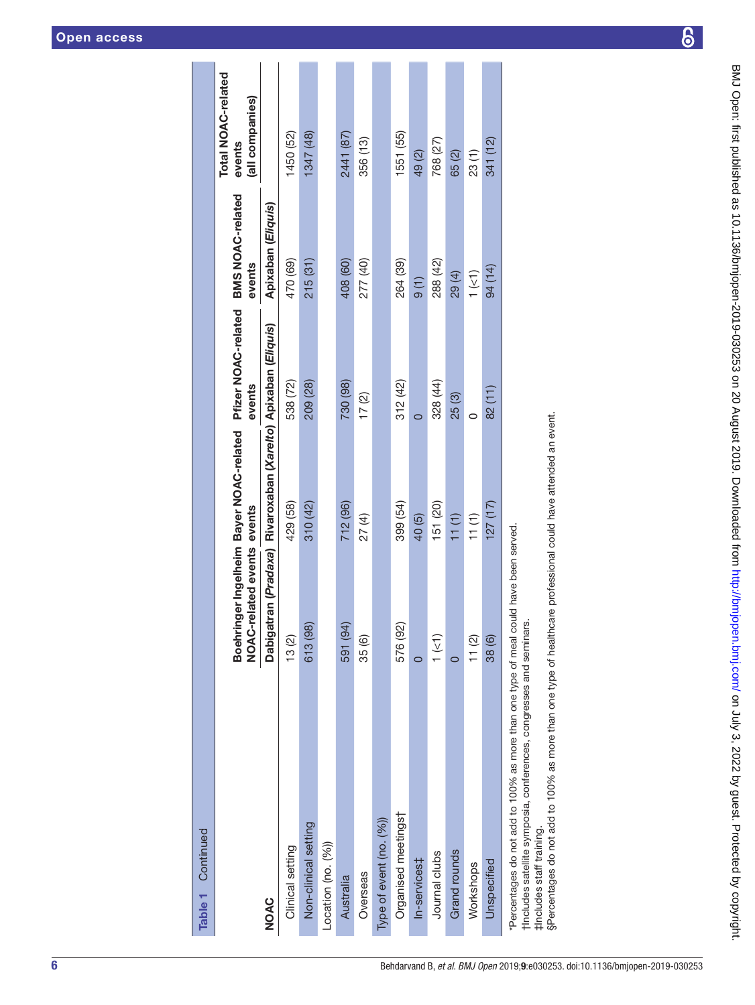| Table 1 Continued                                                                                                                                                                                                                                                                                           |                            |                                                                              |          |                    |                                                 |
|-------------------------------------------------------------------------------------------------------------------------------------------------------------------------------------------------------------------------------------------------------------------------------------------------------------|----------------------------|------------------------------------------------------------------------------|----------|--------------------|-------------------------------------------------|
|                                                                                                                                                                                                                                                                                                             | NOAC-related events events | Boehringer Ingelheim Bayer NOAC-related Pfizer NOAC-related BMS NOAC-related | events   | events             | Total NOAC-related<br>(all companies)<br>events |
| NOAC                                                                                                                                                                                                                                                                                                        |                            | Dabigatran (Pradaxa) Rivaroxaban (Xarelto) Apixaban (Eliquis)                |          | Apixaban (Eliquis) |                                                 |
| Clinical setting                                                                                                                                                                                                                                                                                            | 13(2)                      | 429 (58)                                                                     | 538 (72) | 470 (69)           | 1450 (52)                                       |
| Non-clinical setting                                                                                                                                                                                                                                                                                        | 613 (98                    | 310 (42)                                                                     | 209 (28) | 215(31)            | 1347 (48)                                       |
| Location (no. (%))                                                                                                                                                                                                                                                                                          |                            |                                                                              |          |                    |                                                 |
| Australia                                                                                                                                                                                                                                                                                                   | 591 (94                    | 712 (96)                                                                     | 730 (98) | 408 (60)           | 2441 (87)                                       |
| Overseas                                                                                                                                                                                                                                                                                                    | 35 (6)                     | 27(4)                                                                        | 17(2)    | 277 (40)           | 356 (13)                                        |
| Type of event (no. (%))                                                                                                                                                                                                                                                                                     |                            |                                                                              |          |                    |                                                 |
| Organised meetings†                                                                                                                                                                                                                                                                                         | 576 (92                    | 399 (54)                                                                     | 312(42)  | 264 (39)           | 1551 (55)                                       |
| In-services‡                                                                                                                                                                                                                                                                                                | $\circ$                    | 40(5)                                                                        | $\circ$  | $\frac{1}{9}$      | 49(2)                                           |
| Journal clubs                                                                                                                                                                                                                                                                                               | $1$ ( $<$ 1)               | 151 (20)                                                                     | 328 (44) | 288 (42)           | 768 (27)                                        |
| <b>Grand rounds</b>                                                                                                                                                                                                                                                                                         | $\circ$                    | 11(1)                                                                        | 25(3)    | 29(4)              | 65(2)                                           |
| Workshops                                                                                                                                                                                                                                                                                                   | 11(2)                      | 11(1)                                                                        | $\circ$  | 1(5)               | 23(1)                                           |
| Unspecified                                                                                                                                                                                                                                                                                                 | 38 (6)                     | 127(17)                                                                      | 82 (11)  | 94 (14)            | 341 (12)                                        |
| §Percentages do not add to 100% as more than one type of healthcare professional could have attended an event.<br>*Percentages do not add to 100% as more than one type of meal could have been served.<br>tincludes satellite symposia, conferences, congresses and seminars.<br>tincludes staff training. |                            |                                                                              |          |                    |                                                 |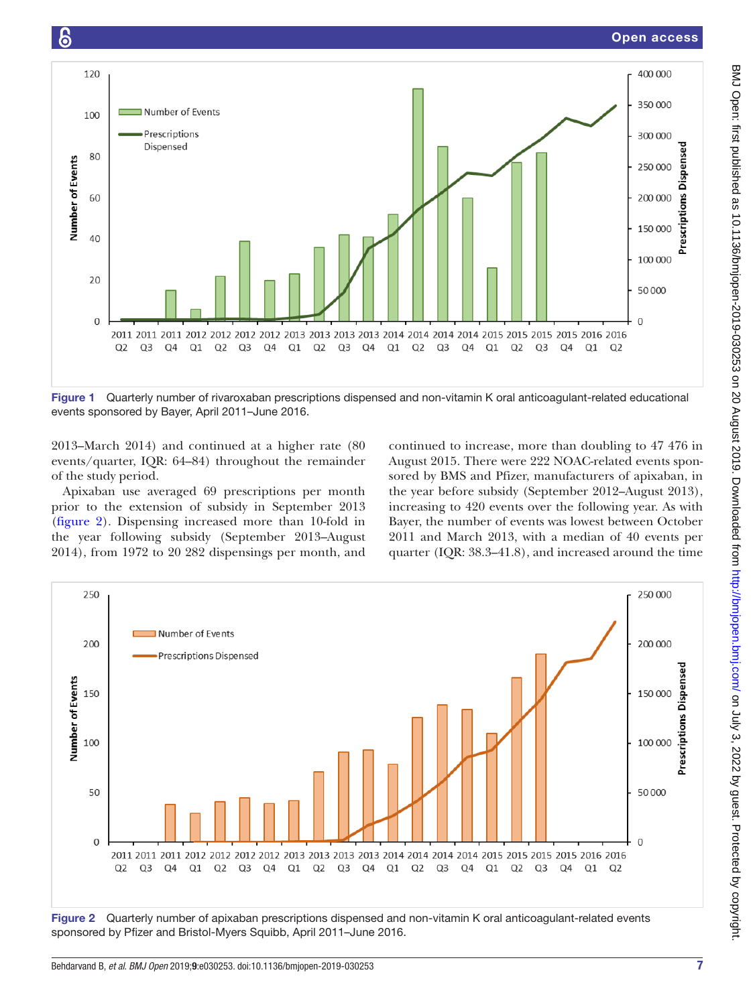

<span id="page-6-0"></span>Figure 1 Quarterly number of rivaroxaban prescriptions dispensed and non-vitamin K oral anticoagulant-related educational events sponsored by Bayer, April 2011–June 2016.

2013–March 2014) and continued at a higher rate (80 events/quarter, IQR: 64–84) throughout the remainder of the study period.

 $\bm{6}$ 

Apixaban use averaged 69 prescriptions per month prior to the extension of subsidy in September 2013 ([figure](#page-6-1) 2). Dispensing increased more than 10-fold in the year following subsidy (September 2013–August 2014), from 1972 to 20 282 dispensings per month, and

continued to increase, more than doubling to 47 476 in August 2015. There were 222 NOAC-related events sponsored by BMS and Pfizer, manufacturers of apixaban, in the year before subsidy (September 2012–August 2013), increasing to 420 events over the following year. As with Bayer, the number of events was lowest between October 2011 and March 2013, with a median of 40 events per quarter (IQR: 38.3–41.8), and increased around the time



<span id="page-6-1"></span>Figure 2 Quarterly number of apixaban prescriptions dispensed and non-vitamin K oral anticoagulant-related events sponsored by Pfizer and Bristol-Myers Squibb, April 2011–June 2016.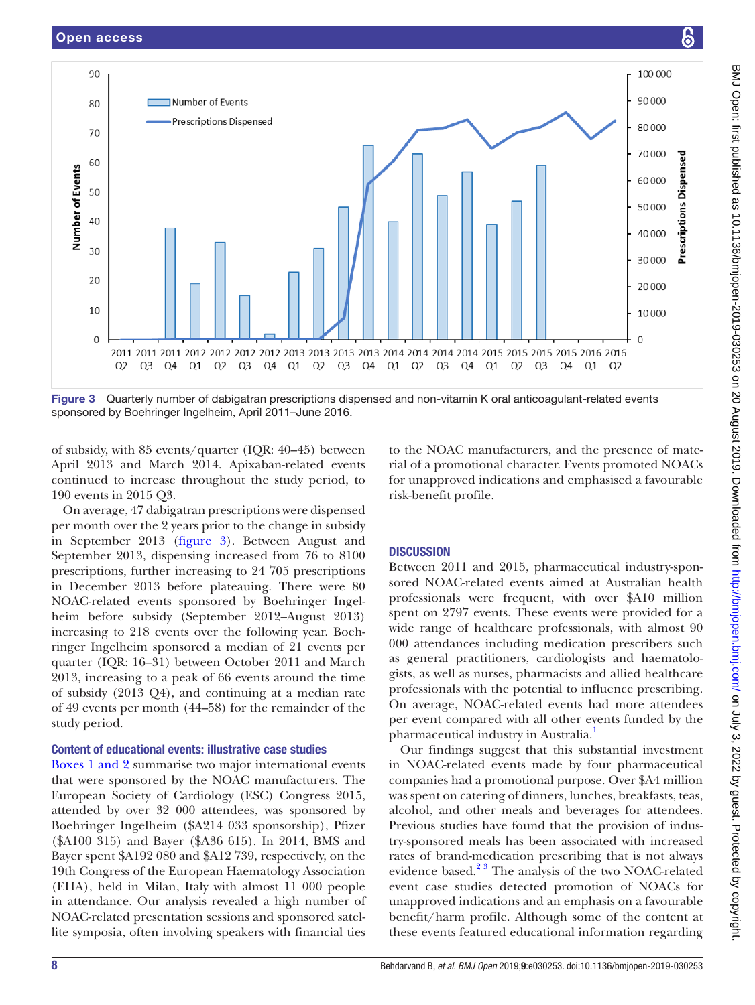

<span id="page-7-0"></span>Figure 3 Quarterly number of dabigatran prescriptions dispensed and non-vitamin K oral anticoagulant-related events sponsored by Boehringer Ingelheim, April 2011–June 2016.

of subsidy, with 85 events/quarter (IQR: 40–45) between April 2013 and March 2014. Apixaban-related events continued to increase throughout the study period, to 190 events in 2015 Q3.

On average, 47 dabigatran prescriptions were dispensed per month over the 2 years prior to the change in subsidy in September 2013 ([figure](#page-7-0) 3). Between August and September 2013, dispensing increased from 76 to 8100 prescriptions, further increasing to 24 705 prescriptions in December 2013 before plateauing. There were 80 NOAC-related events sponsored by Boehringer Ingelheim before subsidy (September 2012–August 2013) increasing to 218 events over the following year. Boehringer Ingelheim sponsored a median of 21 events per quarter (IQR: 16–31) between October 2011 and March 2013, increasing to a peak of 66 events around the time of subsidy (2013 Q4), and continuing at a median rate of 49 events per month (44–58) for the remainder of the study period.

#### Content of educational events: illustrative case studies

Boxes [1 and 2](#page-8-0) summarise two major international events that were sponsored by the NOAC manufacturers. The European Society of Cardiology (ESC) Congress 2015, attended by over 32 000 attendees, was sponsored by Boehringer Ingelheim (\$A214 033 sponsorship), Pfizer (\$A100 315) and Bayer (\$A36 615). In 2014, BMS and Bayer spent \$A192 080 and \$A12 739, respectively, on the 19th Congress of the European Haematology Association (EHA), held in Milan, Italy with almost 11 000 people in attendance. Our analysis revealed a high number of NOAC-related presentation sessions and sponsored satellite symposia, often involving speakers with financial ties

to the NOAC manufacturers, and the presence of material of a promotional character. Events promoted NOACs for unapproved indications and emphasised a favourable risk-benefit profile.

# **DISCUSSION**

Between 2011 and 2015, pharmaceutical industry-sponsored NOAC-related events aimed at Australian health professionals were frequent, with over \$A10 million spent on 2797 events. These events were provided for a wide range of healthcare professionals, with almost 90 000 attendances including medication prescribers such as general practitioners, cardiologists and haematologists, as well as nurses, pharmacists and allied healthcare professionals with the potential to influence prescribing. On average, NOAC-related events had more attendees per event compared with all other events funded by the pharmaceutical industry in Australia.<sup>[1](#page-9-0)</sup>

Our findings suggest that this substantial investment in NOAC-related events made by four pharmaceutical companies had a promotional purpose. Over \$A4 million was spent on catering of dinners, lunches, breakfasts, teas, alcohol, and other meals and beverages for attendees. Previous studies have found that the provision of industry-sponsored meals has been associated with increased rates of brand-medication prescribing that is not always evidence based.<sup>23</sup> The analysis of the two NOAC-related event case studies detected promotion of NOACs for unapproved indications and an emphasis on a favourable benefit/harm profile. Although some of the content at these events featured educational information regarding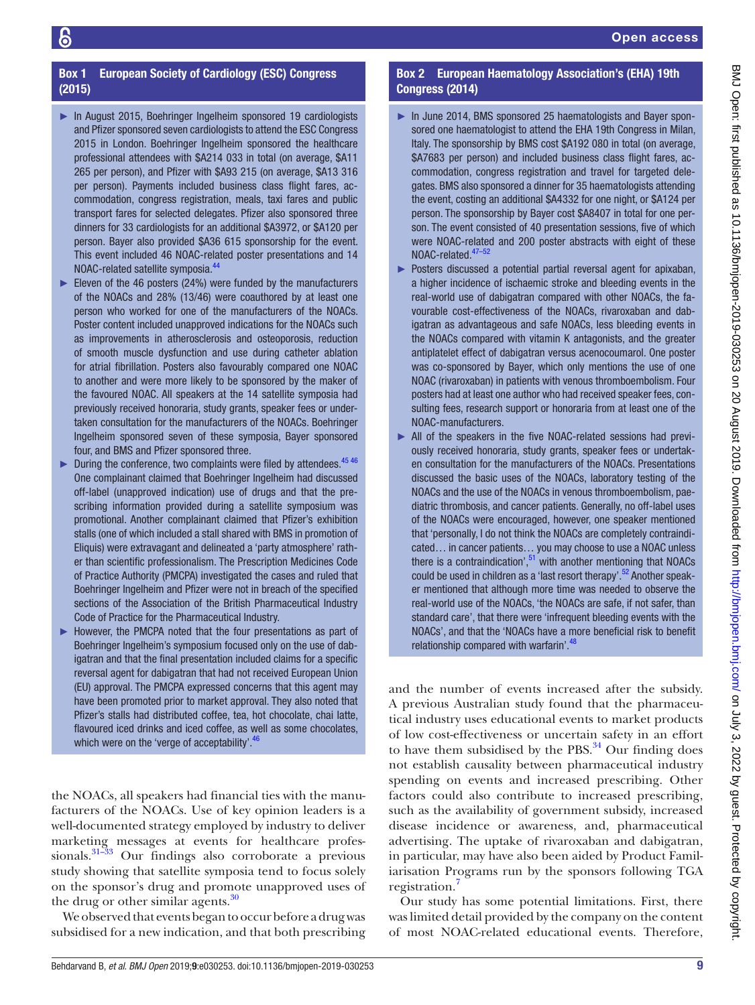### Box 1 European Society of Cardiology (ESC) Congress (2015)

- <span id="page-8-0"></span>► In August 2015, Boehringer Ingelheim sponsored 19 cardiologists and Pfizer sponsored seven cardiologists to attend the ESC Congress 2015 in London. Boehringer Ingelheim sponsored the healthcare professional attendees with \$A214 033 in total (on average, \$A11 265 per person), and Pfizer with \$A93 215 (on average, \$A13 316 per person). Payments included business class flight fares, accommodation, congress registration, meals, taxi fares and public transport fares for selected delegates. Pfizer also sponsored three dinners for 33 cardiologists for an additional \$A3972, or \$A120 per person. Bayer also provided \$A36 615 sponsorship for the event. This event included 46 NOAC-related poster presentations and 14 NOAC-related satellite symposia.[44](#page-10-8)
- ► Eleven of the 46 posters (24%) were funded by the manufacturers of the NOACs and 28% (13/46) were coauthored by at least one person who worked for one of the manufacturers of the NOACs. Poster content included unapproved indications for the NOACs such as improvements in atherosclerosis and osteoporosis, reduction of smooth muscle dysfunction and use during catheter ablation for atrial fibrillation. Posters also favourably compared one NOAC to another and were more likely to be sponsored by the maker of the favoured NOAC. All speakers at the 14 satellite symposia had previously received honoraria, study grants, speaker fees or undertaken consultation for the manufacturers of the NOACs. Boehringer Ingelheim sponsored seven of these symposia, Bayer sponsored four, and BMS and Pfizer sponsored three.
- $\blacktriangleright$  During the conference, two complaints were filed by attendees.  $45\,46$ One complainant claimed that Boehringer Ingelheim had discussed off-label (unapproved indication) use of drugs and that the prescribing information provided during a satellite symposium was promotional. Another complainant claimed that Pfizer's exhibition stalls (one of which included a stall shared with BMS in promotion of Eliquis) were extravagant and delineated a 'party atmosphere' rather than scientific professionalism. The Prescription Medicines Code of Practice Authority (PMCPA) investigated the cases and ruled that Boehringer Ingelheim and Pfizer were not in breach of the specified sections of the Association of the British Pharmaceutical Industry Code of Practice for the Pharmaceutical Industry.
- ► However, the PMCPA noted that the four presentations as part of Boehringer Ingelheim's symposium focused only on the use of dabigatran and that the final presentation included claims for a specific reversal agent for dabigatran that had not received European Union (EU) approval. The PMCPA expressed concerns that this agent may have been promoted prior to market approval. They also noted that Pfizer's stalls had distributed coffee, tea, hot chocolate, chai latte, flavoured iced drinks and iced coffee, as well as some chocolates, which were on the 'verge of acceptability'.<sup>46</sup>

the NOACs, all speakers had financial ties with the manufacturers of the NOACs. Use of key opinion leaders is a well-documented strategy employed by industry to deliver marketing messages at events for healthcare professionals. $31-33$  Our findings also corroborate a previous study showing that satellite symposia tend to focus solely on the sponsor's drug and promote unapproved uses of the drug or other similar agents.<sup>[30](#page-10-6)</sup>

We observed that events began to occur before a drug was subsidised for a new indication, and that both prescribing

# Box 2 European Haematology Association's (EHA) 19th Congress (2014)

- ► In June 2014, BMS sponsored 25 haematologists and Bayer sponsored one haematologist to attend the EHA 19th Congress in Milan, Italy. The sponsorship by BMS cost \$A192 080 in total (on average, \$A7683 per person) and included business class flight fares, accommodation, congress registration and travel for targeted delegates. BMS also sponsored a dinner for 35 haematologists attending the event, costing an additional \$A4332 for one night, or \$A124 per person. The sponsorship by Bayer cost \$A8407 in total for one person. The event consisted of 40 presentation sessions, five of which were NOAC-related and 200 poster abstracts with eight of these  $NOAC$ -related. $47-$
- ► Posters discussed a potential partial reversal agent for apixaban, a higher incidence of ischaemic stroke and bleeding events in the real-world use of dabigatran compared with other NOACs, the favourable cost-effectiveness of the NOACs, rivaroxaban and dabigatran as advantageous and safe NOACs, less bleeding events in the NOACs compared with vitamin K antagonists, and the greater antiplatelet effect of dabigatran versus acenocoumarol. One poster was co-sponsored by Bayer, which only mentions the use of one NOAC (rivaroxaban) in patients with venous thromboembolism. Four posters had at least one author who had received speaker fees, consulting fees, research support or honoraria from at least one of the NOAC-manufacturers.
- ► All of the speakers in the five NOAC-related sessions had previously received honoraria, study grants, speaker fees or undertaken consultation for the manufacturers of the NOACs. Presentations discussed the basic uses of the NOACs, laboratory testing of the NOACs and the use of the NOACs in venous thromboembolism, paediatric thrombosis, and cancer patients. Generally, no off-label uses of the NOACs were encouraged, however, one speaker mentioned that 'personally, I do not think the NOACs are completely contraindicated… in cancer patients… you may choose to use a NOAC unless there is a contraindication', $51$  with another mentioning that NOACs could be used in children as a 'last resort therapy'.<sup>52</sup> Another speaker mentioned that although more time was needed to observe the real-world use of the NOACs, 'the NOACs are safe, if not safer, than standard care', that there were 'infrequent bleeding events with the NOACs', and that the 'NOACs have a more beneficial risk to benefit relationship compared with warfarin'.<sup>48</sup>

and the number of events increased after the subsidy. A previous Australian study found that the pharmaceutical industry uses educational events to market products of low cost-effectiveness or uncertain safety in an effort to have them subsidised by the PBS. $34$  Our finding does not establish causality between pharmaceutical industry spending on events and increased prescribing. Other factors could also contribute to increased prescribing, such as the availability of government subsidy, increased disease incidence or awareness, and, pharmaceutical advertising. The uptake of rivaroxaban and dabigatran, in particular, may have also been aided by Product Familiarisation Programs run by the sponsors following TGA registration.

Our study has some potential limitations. First, there was limited detail provided by the company on the content of most NOAC-related educational events. Therefore,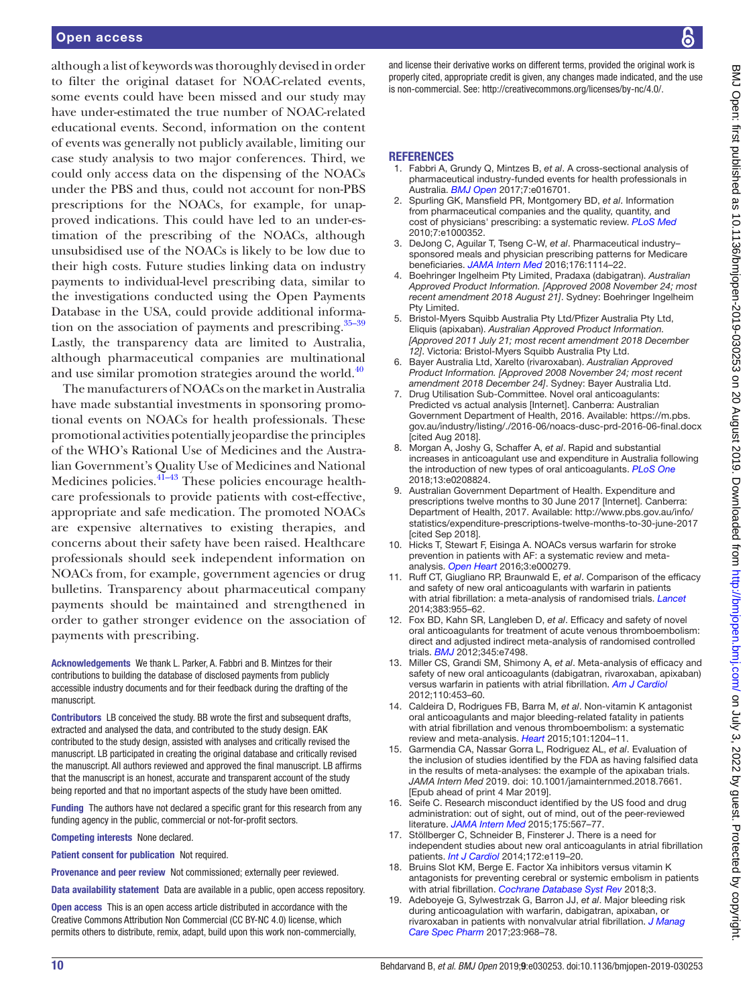#### Open access

although a list of keywords was thoroughly devised in order to filter the original dataset for NOAC-related events, some events could have been missed and our study may have under-estimated the true number of NOAC-related educational events. Second, information on the content of events was generally not publicly available, limiting our case study analysis to two major conferences. Third, we could only access data on the dispensing of the NOACs under the PBS and thus, could not account for non-PBS prescriptions for the NOACs, for example, for unapproved indications. This could have led to an under-estimation of the prescribing of the NOACs, although unsubsidised use of the NOACs is likely to be low due to their high costs. Future studies linking data on industry payments to individual-level prescribing data, similar to the investigations conducted using the Open Payments Database in the USA, could provide additional information on the association of payments and prescribing. $35-39$ Lastly, the transparency data are limited to Australia, although pharmaceutical companies are multinational and use similar promotion strategies around the world.<sup>40</sup>

The manufacturers of NOACs on the market in Australia have made substantial investments in sponsoring promotional events on NOACs for health professionals. These promotional activities potentially jeopardise the principles of the WHO's Rational Use of Medicines and the Australian Government's Quality Use of Medicines and National Medicines policies. $41-43$  These policies encourage healthcare professionals to provide patients with cost-effective, appropriate and safe medication. The promoted NOACs are expensive alternatives to existing therapies, and concerns about their safety have been raised. Healthcare professionals should seek independent information on NOACs from, for example, government agencies or drug bulletins. Transparency about pharmaceutical company payments should be maintained and strengthened in order to gather stronger evidence on the association of payments with prescribing.

Acknowledgements We thank L. Parker, A. Fabbri and B. Mintzes for their contributions to building the database of disclosed payments from publicly accessible industry documents and for their feedback during the drafting of the manuscript.

Contributors LB conceived the study. BB wrote the first and subsequent drafts, extracted and analysed the data, and contributed to the study design. EAK contributed to the study design, assisted with analyses and critically revised the manuscript. LB participated in creating the original database and critically revised the manuscript. All authors reviewed and approved the final manuscript. LB affirms that the manuscript is an honest, accurate and transparent account of the study being reported and that no important aspects of the study have been omitted.

Funding The authors have not declared a specific grant for this research from any funding agency in the public, commercial or not-for-profit sectors.

Competing interests None declared.

Patient consent for publication Not required.

Provenance and peer review Not commissioned; externally peer reviewed.

Data availability statement Data are available in a public, open access repository.

Open access This is an open access article distributed in accordance with the Creative Commons Attribution Non Commercial (CC BY-NC 4.0) license, which permits others to distribute, remix, adapt, build upon this work non-commercially, and license their derivative works on different terms, provided the original work is properly cited, appropriate credit is given, any changes made indicated, and the use is non-commercial. See: [http://creativecommons.org/licenses/by-nc/4.0/.](http://creativecommons.org/licenses/by-nc/4.0/)

#### **REFERENCES**

- <span id="page-9-0"></span>1. Fabbri A, Grundy Q, Mintzes B, *et al*. A cross-sectional analysis of pharmaceutical industry-funded events for health professionals in Australia. *[BMJ Open](http://dx.doi.org/10.1136/bmjopen-2017-016701)* 2017;7:e016701.
- <span id="page-9-1"></span>2. Spurling GK, Mansfield PR, Montgomery BD, *et al*. Information from pharmaceutical companies and the quality, quantity, and cost of physicians' prescribing: a systematic review. *[PLoS Med](http://dx.doi.org/10.1371/journal.pmed.1000352)* 2010;7:e1000352.
- <span id="page-9-2"></span>3. DeJong C, Aguilar T, Tseng C-W, *et al*. Pharmaceutical industry– sponsored meals and physician prescribing patterns for Medicare beneficiaries. *[JAMA Intern Med](http://dx.doi.org/10.1001/jamainternmed.2016.2765)* 2016;176:1114–22.
- <span id="page-9-3"></span>4. Boehringer Ingelheim Pty Limited, Pradaxa (dabigatran). *Australian Approved Product Information. [Approved 2008 November 24; most recent amendment 2018 August 21]*. Sydney: Boehringer Ingelheim Pty Limited.
- 5. Bristol-Myers Squibb Australia Pty Ltd/Pfizer Australia Pty Ltd, Eliquis (apixaban). *Australian Approved Product Information. [Approved 2011 July 21; most recent amendment 2018 December 12]*. Victoria: Bristol-Myers Squibb Australia Pty Ltd.
- 6. Bayer Australia Ltd, Xarelto (rivaroxaban). *Australian Approved Product Information. [Approved 2008 November 24; most recent amendment 2018 December 24]*. Sydney: Bayer Australia Ltd.
- <span id="page-9-5"></span>7. Drug Utilisation Sub-Committee. Novel oral anticoagulants: Predicted vs actual analysis [Internet]. Canberra: Australian Government Department of Health, 2016. Available: [https://m.pbs.](https://m.pbs.gov.au/industry/listing/./2016-06/noacs-dusc-prd-2016-06-final.docx) [gov.au/industry/listing/./2016-06/noacs-dusc-prd-2016-06-final.docx](https://m.pbs.gov.au/industry/listing/./2016-06/noacs-dusc-prd-2016-06-final.docx)  [cited Aug 2018].
- <span id="page-9-4"></span>8. Morgan A, Joshy G, Schaffer A, *et al*. Rapid and substantial increases in anticoagulant use and expenditure in Australia following the introduction of new types of oral anticoagulants. *[PLoS One](http://dx.doi.org/10.1371/journal.pone.0208824)* 2018;13:e0208824.
- <span id="page-9-6"></span>9. Australian Government Department of Health. Expenditure and prescriptions twelve months to 30 June 2017 [Internet]. Canberra: Department of Health, 2017. Available: [http://www.pbs.gov.au/info/](http://www.pbs.gov.au/info/statistics/expenditure-prescriptions-twelve-months-to-30-june-2017) [statistics/expenditure-prescriptions-twelve-months-to-30-june-2017](http://www.pbs.gov.au/info/statistics/expenditure-prescriptions-twelve-months-to-30-june-2017)  [cited Sep 2018].
- <span id="page-9-7"></span>10. Hicks T, Stewart F, Eisinga A. NOACs versus warfarin for stroke prevention in patients with AF: a systematic review and metaanalysis. *[Open Heart](http://dx.doi.org/10.1136/openhrt-2015-000279)* 2016;3:e000279.
- 11. Ruff CT, Giugliano RP, Braunwald E, *et al*. Comparison of the efficacy and safety of new oral anticoagulants with warfarin in patients with atrial fibrillation: a meta-analysis of randomised trials. *[Lancet](http://dx.doi.org/10.1016/S0140-6736(13)62343-0)* 2014;383:955–62.
- 12. Fox BD, Kahn SR, Langleben D, *et al*. Efficacy and safety of novel oral anticoagulants for treatment of acute venous thromboembolism: direct and adjusted indirect meta-analysis of randomised controlled trials. *[BMJ](http://dx.doi.org/10.1136/bmj.e7498)* 2012;345:e7498.
- 13. Miller CS, Grandi SM, Shimony A, *et al*. Meta-analysis of efficacy and safety of new oral anticoagulants (dabigatran, rivaroxaban, apixaban) versus warfarin in patients with atrial fibrillation. *[Am J Cardiol](http://dx.doi.org/10.1016/j.amjcard.2012.03.049)* 2012;110:453–60.
- 14. Caldeira D, Rodrigues FB, Barra M, *et al*. Non-vitamin K antagonist oral anticoagulants and major bleeding-related fatality in patients with atrial fibrillation and venous thromboembolism: a systematic review and meta-analysis. *[Heart](http://dx.doi.org/10.1136/heartjnl-2015-307489)* 2015;101:1204–11.
- <span id="page-9-8"></span>15. Garmendia CA, Nassar Gorra L, Rodriguez AL, *et al*. Evaluation of the inclusion of studies identified by the FDA as having falsified data in the results of meta-analyses: the example of the apixaban trials. *JAMA Intern Med* 2019. doi: 10.1001/jamainternmed.2018.7661. [Epub ahead of print 4 Mar 2019].
- 16. Seife C. Research misconduct identified by the US food and drug administration: out of sight, out of mind, out of the peer-reviewed literature. *[JAMA Intern Med](http://dx.doi.org/10.1001/jamainternmed.2014.7774)* 2015;175:567–77.
- <span id="page-9-9"></span>17. Stöllberger C, Schneider B, Finsterer J. There is a need for independent studies about new oral anticoagulants in atrial fibrillation patients. *[Int J Cardiol](http://dx.doi.org/10.1016/j.ijcard.2013.12.118)* 2014;172:e119–20.
- <span id="page-9-10"></span>18. Bruins Slot KM, Berge E. Factor Xa inhibitors versus vitamin K antagonists for preventing cerebral or systemic embolism in patients with atrial fibrillation. *[Cochrane Database Syst Rev](http://dx.doi.org/10.1002/14651858.CD008980.pub3)* 2018;3.
- 19. Adeboyeje G, Sylwestrzak G, Barron JJ, *et al*. Major bleeding risk during anticoagulation with warfarin, dabigatran, apixaban, or rivaroxaban in patients with nonvalvular atrial fibrillation. *[J Manag](http://dx.doi.org/10.18553/jmcp.2017.23.9.968)  [Care Spec Pharm](http://dx.doi.org/10.18553/jmcp.2017.23.9.968)* 2017;23:968–78.